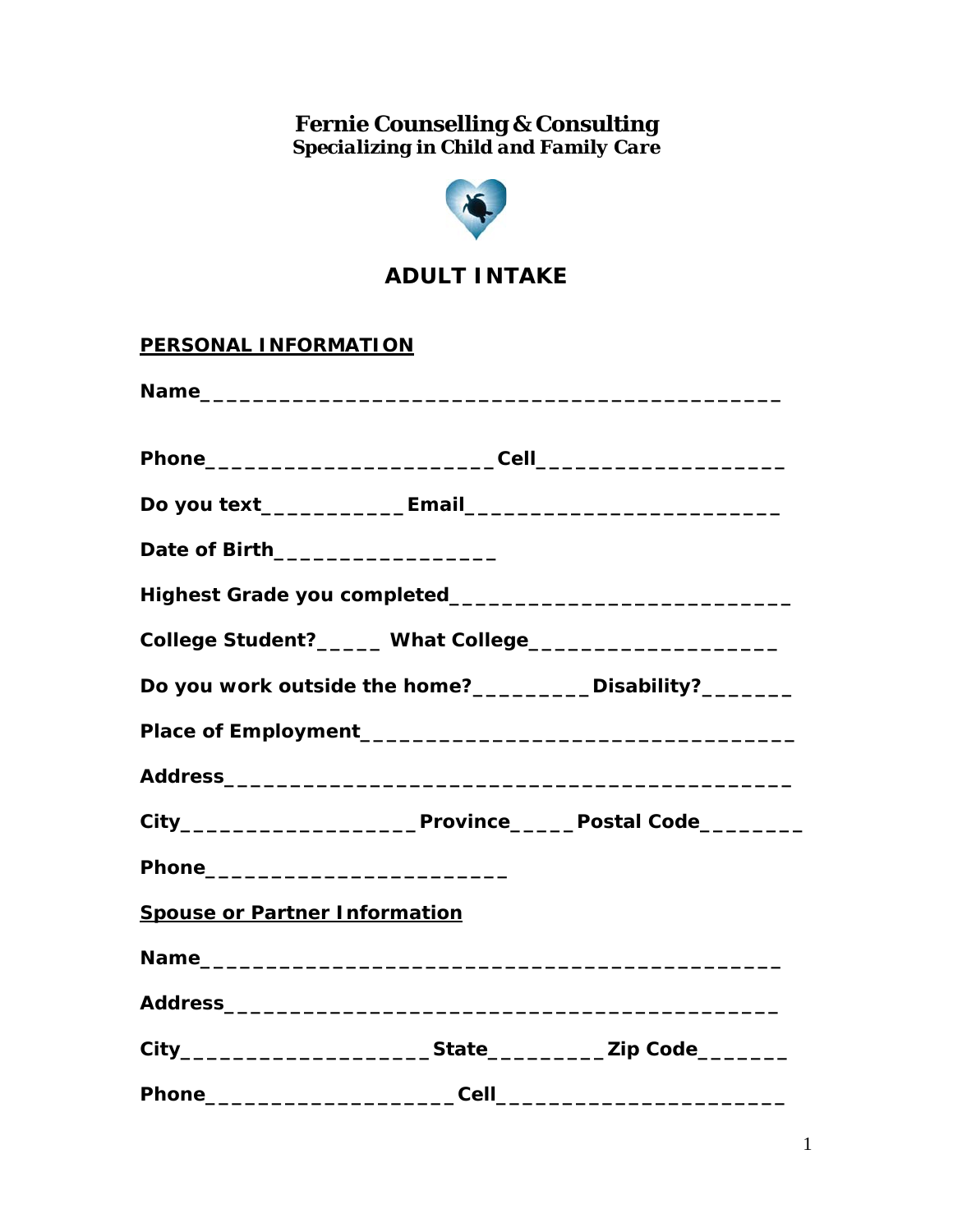**Fernie Counselling & Consulting**  *Specializing in Child and Family Care* 



## **ADULT INTAKE**

| <b>PERSONAL INFORMATION</b>          |                                                               |                                                           |
|--------------------------------------|---------------------------------------------------------------|-----------------------------------------------------------|
|                                      |                                                               |                                                           |
|                                      |                                                               |                                                           |
|                                      |                                                               |                                                           |
|                                      | Date of Birth____________________                             |                                                           |
|                                      |                                                               |                                                           |
|                                      | College Student?______ What College__________________________ |                                                           |
|                                      |                                                               | Do you work outside the home?__________Disability?_______ |
|                                      |                                                               |                                                           |
|                                      |                                                               |                                                           |
|                                      |                                                               |                                                           |
|                                      |                                                               |                                                           |
| <b>Spouse or Partner Information</b> |                                                               |                                                           |
|                                      |                                                               |                                                           |
|                                      |                                                               |                                                           |
|                                      |                                                               |                                                           |
|                                      |                                                               |                                                           |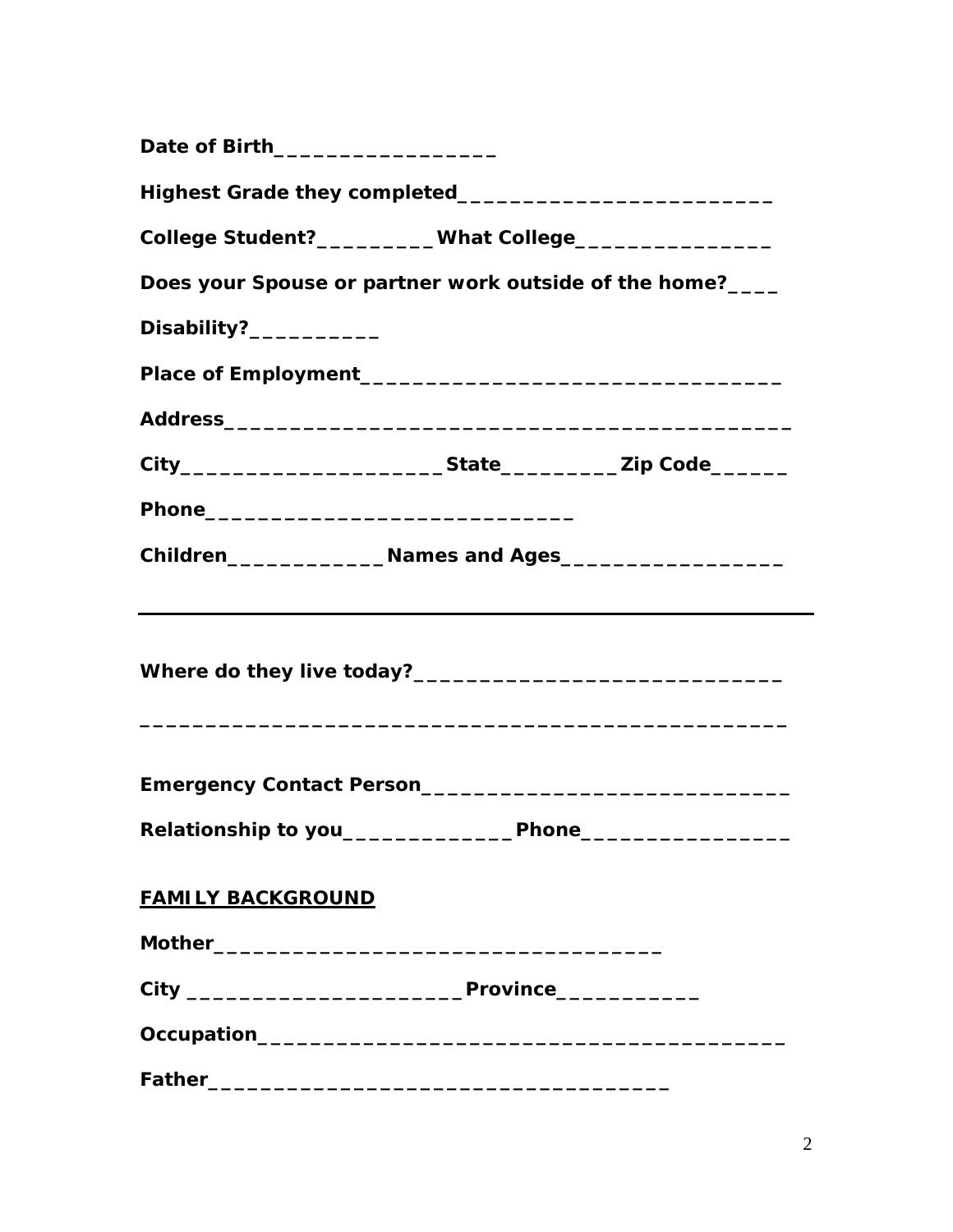| Date of Birth___________________                          |  |
|-----------------------------------------------------------|--|
|                                                           |  |
| College Student?__________What College___________________ |  |
| Does your Spouse or partner work outside of the home?____ |  |
| Disability?___________                                    |  |
|                                                           |  |
|                                                           |  |
|                                                           |  |
|                                                           |  |
|                                                           |  |
|                                                           |  |
|                                                           |  |
| Relationship to you_____________Phone___________________  |  |
| <b>FAMILY BACKGROUND</b>                                  |  |
|                                                           |  |
|                                                           |  |
|                                                           |  |
|                                                           |  |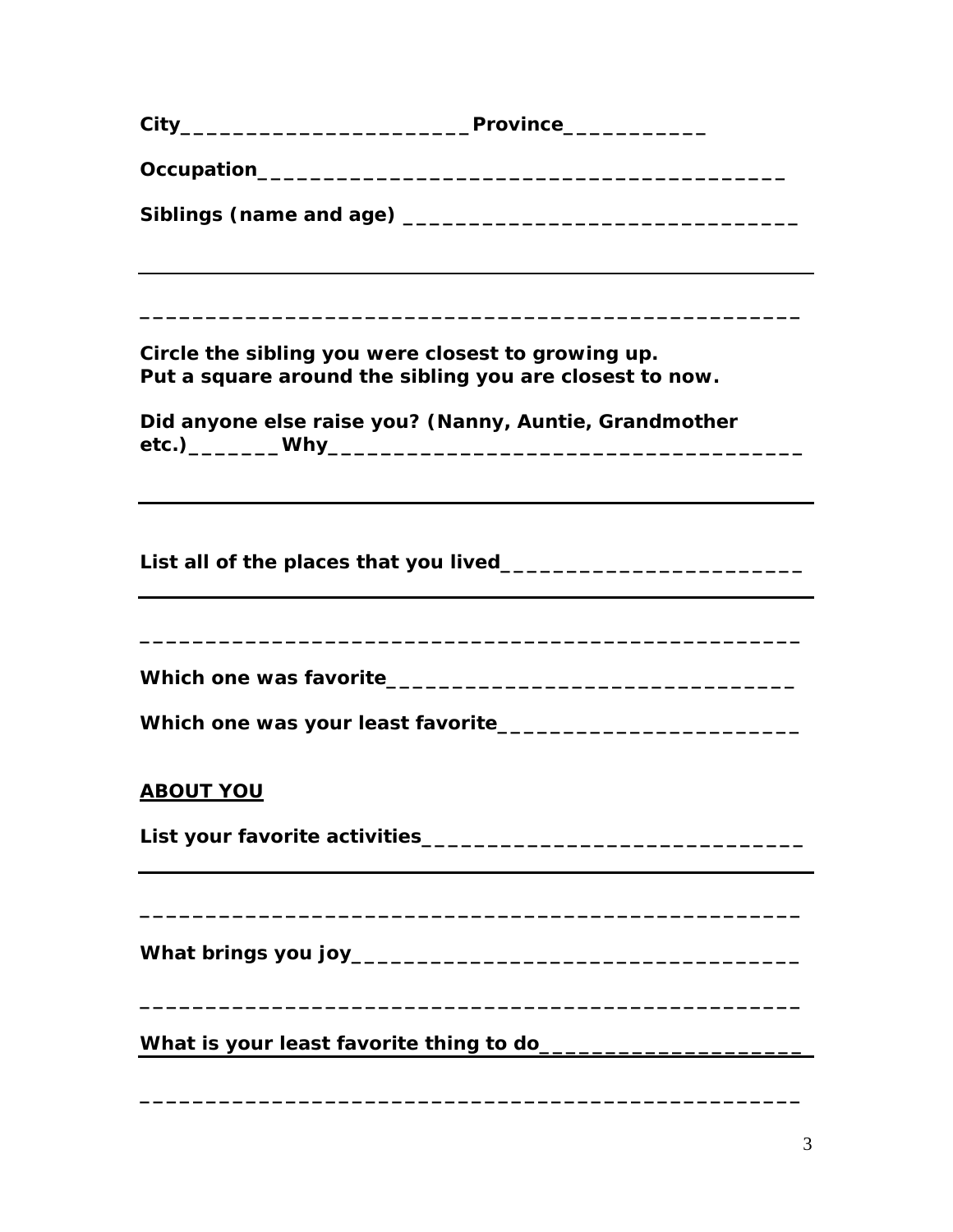|                                                    | ,我们也不会有什么。""我们的人,我们也不会有什么?""我们的人,我们也不会有什么?""我们的人,我们也不会有什么?""我们的人,我们也不会有什么?""我们的人 |
|----------------------------------------------------|----------------------------------------------------------------------------------|
|                                                    |                                                                                  |
| Circle the sibling you were closest to growing up. | Put a square around the sibling you are closest to now.                          |
|                                                    | Did anyone else raise you? (Nanny, Auntie, Grandmother                           |
|                                                    |                                                                                  |
|                                                    |                                                                                  |
|                                                    |                                                                                  |
|                                                    |                                                                                  |
|                                                    |                                                                                  |
| <b>ABOUT YOU</b>                                   |                                                                                  |
|                                                    |                                                                                  |
|                                                    |                                                                                  |
|                                                    |                                                                                  |
|                                                    |                                                                                  |
|                                                    |                                                                                  |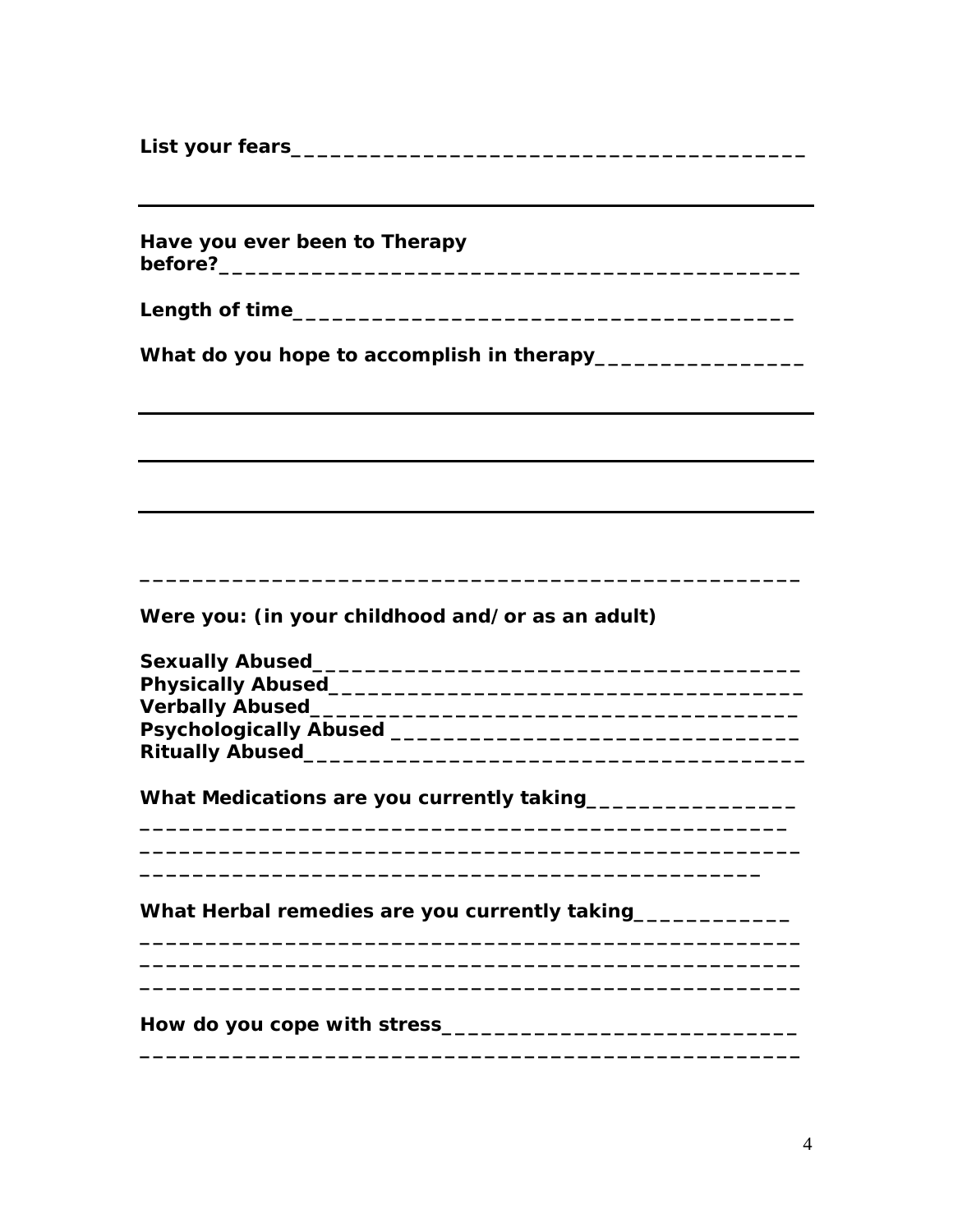Have you ever been to Therapy 

Were you: (in your childhood and/or as an adult)

| <b>Sexually Abused</b>        |  |
|-------------------------------|--|
| <b>Physically Abused</b>      |  |
| <b>Verbally Abused_</b>       |  |
| <b>Psychologically Abused</b> |  |
| <b>Ritually Abused</b>        |  |

What Medications are you currently taking\_\_\_\_\_\_\_\_\_\_\_\_\_\_\_\_\_\_

What Herbal remedies are you currently taking\_\_\_\_\_\_\_\_\_\_\_\_\_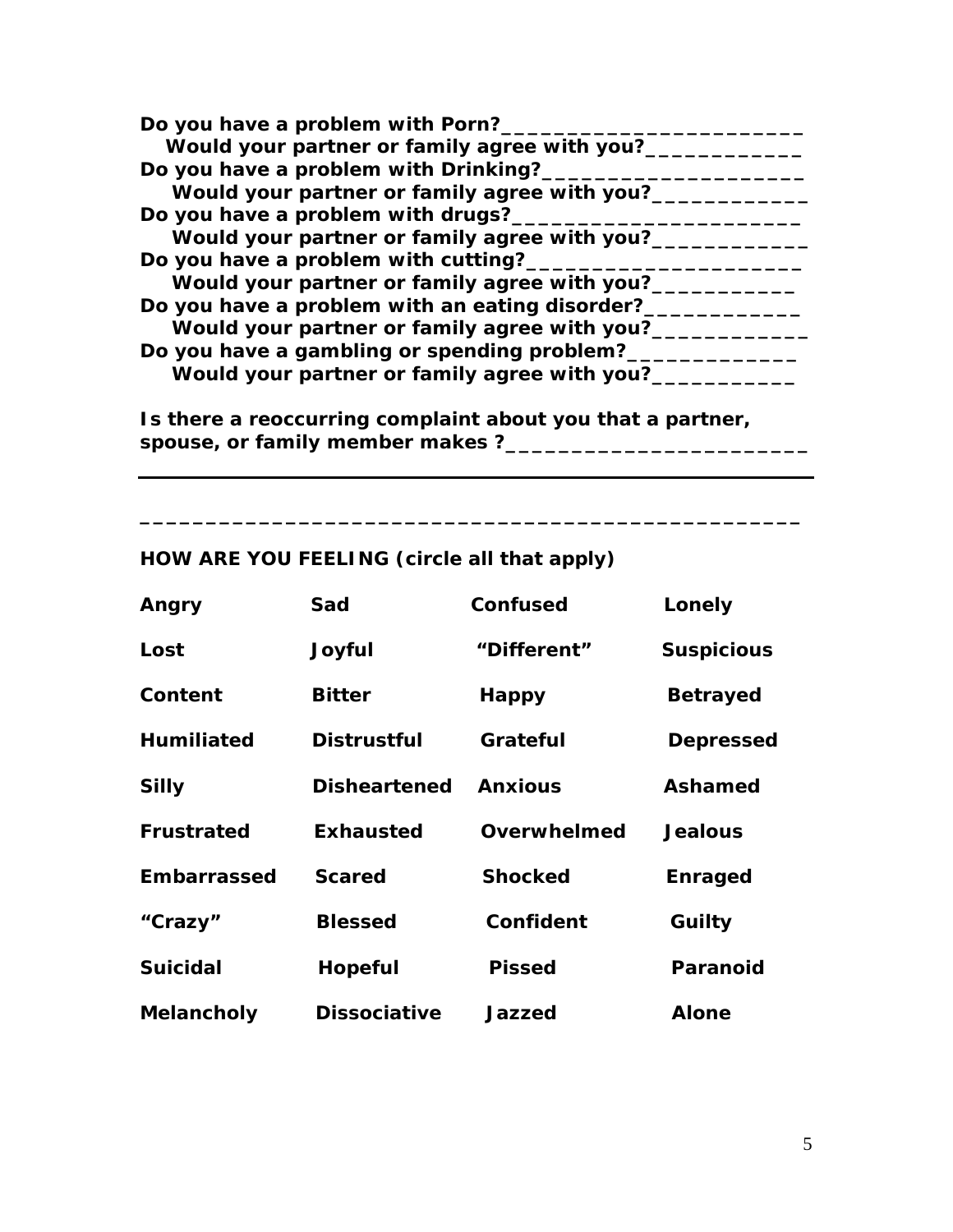| Do you have a problem with Porn?_              |
|------------------------------------------------|
| Would your partner or family agree with you?__ |
| Do you have a problem with Drinking?_          |
| Would your partner or family agree with you?_  |
| Do you have a problem with drugs?_             |
| Would your partner or family agree with you?__ |
| Do you have a problem with cutting?            |
| Would your partner or family agree with you?__ |
| Do you have a problem with an eating disorder? |
| Would your partner or family agree with you?_  |
| Do you have a gambling or spending problem?    |
| Would your partner or family agree with you?_  |
|                                                |

**Is there a reoccurring complaint about you that a partner, spouse, or family member makes ?\_\_\_\_\_\_\_\_\_\_\_\_\_\_\_\_\_\_\_\_\_\_\_** 

**\_\_\_\_\_\_\_\_\_\_\_\_\_\_\_\_\_\_\_\_\_\_\_\_\_\_\_\_\_\_\_\_\_\_\_\_\_\_\_\_\_\_\_\_\_\_\_\_\_\_** 

## **HOW ARE YOU FEELING (circle all that apply)**

| Angry             | Sad                 | <b>Confused</b> | Lonely            |
|-------------------|---------------------|-----------------|-------------------|
| Lost              | Joyful              | "Different"     | <b>Suspicious</b> |
| Content           | <b>Bitter</b>       | <b>Happy</b>    | <b>Betrayed</b>   |
| <b>Humiliated</b> | <b>Distrustful</b>  | Grateful        | <b>Depressed</b>  |
| <b>Silly</b>      | <b>Disheartened</b> | <b>Anxious</b>  | Ashamed           |
| <b>Frustrated</b> | <b>Exhausted</b>    | Overwhelmed     | <b>Jealous</b>    |
| Embarrassed       | <b>Scared</b>       | <b>Shocked</b>  | <b>Enraged</b>    |
| "Crazy"           | <b>Blessed</b>      | Confident       | Guilty            |
| <b>Suicidal</b>   | <b>Hopeful</b>      | <b>Pissed</b>   | <b>Paranoid</b>   |
| Melancholy        | <b>Dissociative</b> | Jazzed          | <b>Alone</b>      |